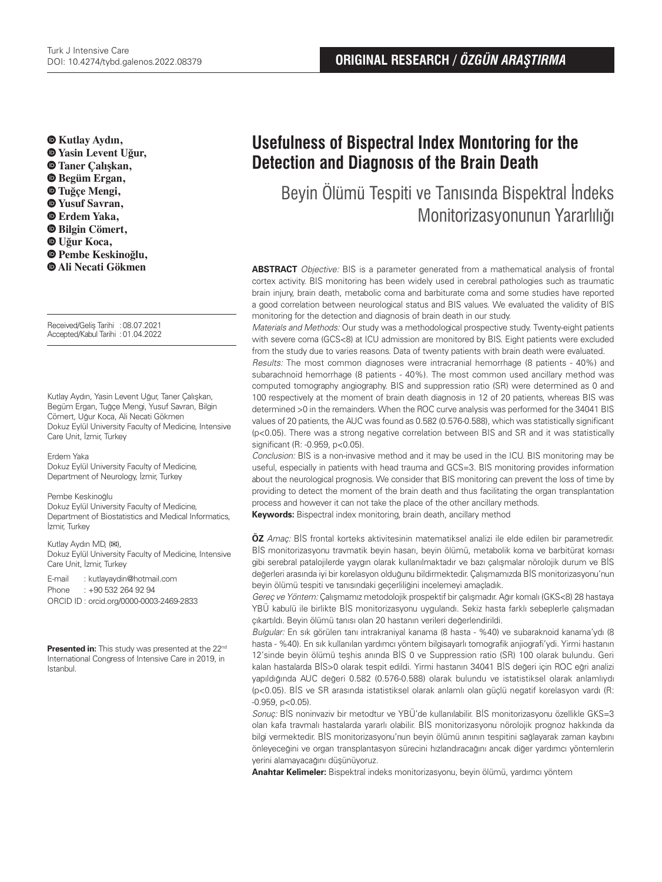**Kutlay Aydın, Yasin Levent Uğur, Taner Çalışkan, Begüm Ergan, Tuğçe Mengi, Yusuf Savran, Erdem Yaka, Bilgin Cömert, Uğur Koca, Pembe Keskinoğlu, Ali Necati Gökmen**

Received/Geliş Tarihi :08.07.2021 Accepted/Kabul Tarihi :01.04.2022

Kutlay Aydın, Yasin Levent Uğur, Taner Çalışkan, Begüm Ergan, Tuğçe Mengi, Yusuf Savran, Bilgin Cömert, Uğur Koca, Ali Necati Gökmen Dokuz Eylül University Faculty of Medicine, Intensive Care Unit, İzmir, Turkey

## Erdem Yaka

Dokuz Eylül University Faculty of Medicine, Department of Neurology, İzmir, Turkey

#### Pembe Keskinoğlu

Dokuz Eylül University Faculty of Medicine, Department of Biostatistics and Medical Informatics, İzmir, Turkey

Kutlay Aydın MD, (**✉**), Dokuz Eylül University Faculty of Medicine, Intensive Care Unit, İzmir, Turkey

E-mail : kutlayaydin@hotmail.com Phone : +90 532 264 92 94 ORCID ID : orcid.org/0000-0003-2469-2833

Presented in: This study was presented at the 22<sup>nd</sup> International Congress of Intensive Care in 2019, in Istanbul.

# **Usefulness of Bispectral Index Monıtoring for the Detection and Diagnosıs of the Brain Death**

Beyin Ölümü Tespiti ve Tanısında Bispektral İndeks Monitorizasyonunun Yararlılığı

**ABSTRACT** Objective: BIS is a parameter generated from a mathematical analysis of frontal cortex activity. BIS monitoring has been widely used in cerebral pathologies such as traumatic brain injury, brain death, metabolic coma and barbiturate coma and some studies have reported a good correlation between neurological status and BIS values. We evaluated the validity of BIS monitoring for the detection and diagnosis of brain death in our study.

Materials and Methods: Our study was a methodological prospective study. Twenty-eight patients with severe coma (GCS<8) at ICU admission are monitored by BIS. Eight patients were excluded from the study due to varies reasons. Data of twenty patients with brain death were evaluated.

Results: The most common diagnoses were intracranial hemorrhage (8 patients - 40%) and subarachnoid hemorrhage (8 patients - 40%). The most common used ancillary method was computed tomography angiography. BIS and suppression ratio (SR) were determined as 0 and 100 respectively at the moment of brain death diagnosis in 12 of 20 patients, whereas BIS was determined >0 in the remainders. When the ROC curve analysis was performed for the 34041 BIS values of 20 patients, the AUC was found as 0.582 (0.576-0.588), which was statistically significant (p<0.05). There was a strong negative correlation between BIS and SR and it was statistically significant (R: -0.959, p<0.05).

Conclusion: BIS is a non-invasive method and it may be used in the ICU. BIS monitoring may be useful, especially in patients with head trauma and GCS=3. BIS monitoring provides information about the neurological prognosis. We consider that BIS monitoring can prevent the loss of time by providing to detect the moment of the brain death and thus facilitating the organ transplantation process and however it can not take the place of the other ancillary methods.

**Keywords:** Bispectral index monitoring, brain death, ancillary method

**ÖZ** Amaç: BİS frontal korteks aktivitesinin matematiksel analizi ile elde edilen bir parametredir. BİS monitorizasyonu travmatik beyin hasarı, beyin ölümü, metabolik koma ve barbitürat koması gibi serebral patalojilerde yaygın olarak kullanılmaktadır ve bazı çalışmalar nörolojik durum ve BİS değerleri arasında iyi bir korelasyon olduğunu bildirmektedir. Çalışmamızda BİS monitorizasyonu'nun beyin ölümü tespiti ve tanısındaki geçerliliğini incelemeyi amaçladık.

Gereç ve Yöntem: Çalışmamız metodolojik prospektif bir çalışmadır. Ağır komalı (GKS<8) 28 hastaya YBÜ kabulü ile birlikte BİS monitorizasyonu uygulandı. Sekiz hasta farklı sebeplerle çalışmadan çıkartıldı. Beyin ölümü tanısı olan 20 hastanın verileri değerlendirildi.

Bulgular: En sık görülen tanı intrakraniyal kanama (8 hasta - %40) ve subaraknoid kanama'ydı (8 hasta - %40). En sık kullanılan yardımcı yöntem bilgisayarlı tomografik anjiografi'ydi. Yirmi hastanın 12'sinde beyin ölümü teşhis anında BİS 0 ve Suppression ratio (SR) 100 olarak bulundu. Geri kalan hastalarda BİS>0 olarak tespit edildi. Yirmi hastanın 34041 BİS değeri için ROC eğri analizi yapıldığında AUC değeri 0.582 (0.576-0.588) olarak bulundu ve istatistiksel olarak anlamlıydı (p<0.05). BİS ve SR arasında istatistiksel olarak anlamlı olan güçlü negatif korelasyon vardı (R:  $-0.959, p<0.05$ ).

Sonuç: BİS noninvaziv bir metodtur ve YBÜ'de kullanılabilir. BİS monitorizasyonu özellikle GKS=3 olan kafa travmalı hastalarda yararlı olabilir. BİS monitorizasyonu nörolojik prognoz hakkında da bilgi vermektedir. BİS monitorizasyonu'nun beyin ölümü anının tespitini sağlayarak zaman kaybını önleyeceğini ve organ transplantasyon sürecini hızlandıracağını ancak diğer yardımcı yöntemlerin yerini alamayacağını düşünüyoruz.

**Anahtar Kelimeler:** Bispektral indeks monitorizasyonu, beyin ölümü, yardımcı yöntem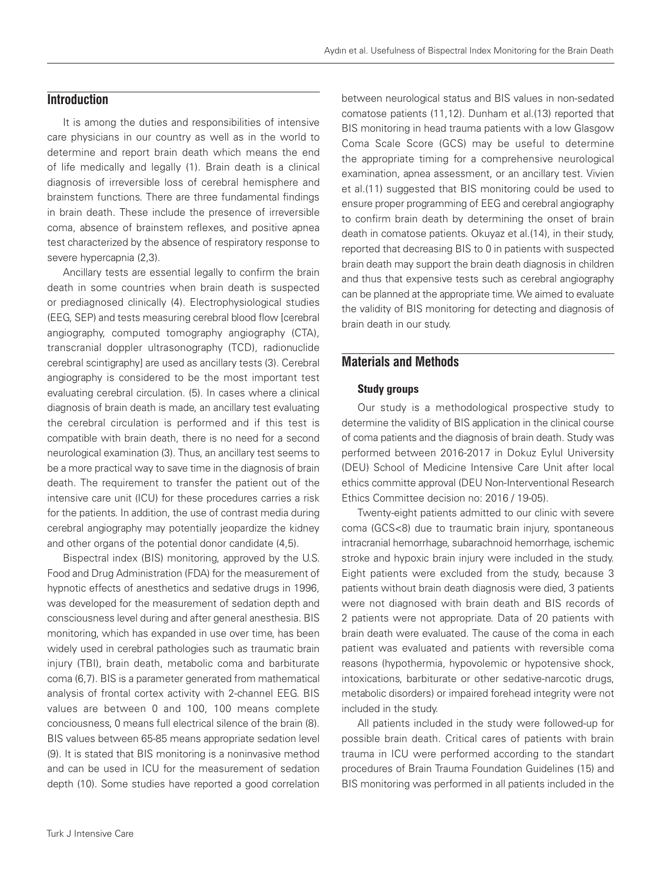# **Introduction**

It is among the duties and responsibilities of intensive care physicians in our country as well as in the world to determine and report brain death which means the end of life medically and legally (1). Brain death is a clinical diagnosis of irreversible loss of cerebral hemisphere and brainstem functions. There are three fundamental findings in brain death. These include the presence of irreversible coma, absence of brainstem reflexes, and positive apnea test characterized by the absence of respiratory response to severe hypercapnia (2,3).

Ancillary tests are essential legally to confirm the brain death in some countries when brain death is suspected or prediagnosed clinically (4). Electrophysiological studies (EEG, SEP) and tests measuring cerebral blood flow [cerebral angiography, computed tomography angiography (CTA), transcranial doppler ultrasonography (TCD), radionuclide cerebral scintigraphy] are used as ancillary tests (3). Cerebral angiography is considered to be the most important test evaluating cerebral circulation. (5). In cases where a clinical diagnosis of brain death is made, an ancillary test evaluating the cerebral circulation is performed and if this test is compatible with brain death, there is no need for a second neurological examination (3). Thus, an ancillary test seems to be a more practical way to save time in the diagnosis of brain death. The requirement to transfer the patient out of the intensive care unit (ICU) for these procedures carries a risk for the patients. In addition, the use of contrast media during cerebral angiography may potentially jeopardize the kidney and other organs of the potential donor candidate (4,5).

Bispectral index (BIS) monitoring, approved by the U.S. Food and Drug Administration (FDA) for the measurement of hypnotic effects of anesthetics and sedative drugs in 1996, was developed for the measurement of sedation depth and consciousness level during and after general anesthesia. BIS monitoring, which has expanded in use over time, has been widely used in cerebral pathologies such as traumatic brain injury (TBI), brain death, metabolic coma and barbiturate coma (6,7). BIS is a parameter generated from mathematical analysis of frontal cortex activity with 2-channel EEG. BIS values are between 0 and 100, 100 means complete conciousness, 0 means full electrical silence of the brain (8). BIS values between 65-85 means appropriate sedation level (9). It is stated that BIS monitoring is a noninvasive method and can be used in ICU for the measurement of sedation depth (10). Some studies have reported a good correlation

between neurological status and BIS values in non-sedated comatose patients (11,12). Dunham et al.(13) reported that BIS monitoring in head trauma patients with a low Glasgow Coma Scale Score (GCS) may be useful to determine the appropriate timing for a comprehensive neurological examination, apnea assessment, or an ancillary test. Vivien et al.(11) suggested that BIS monitoring could be used to ensure proper programming of EEG and cerebral angiography to confirm brain death by determining the onset of brain death in comatose patients. Okuyaz et al.(14), in their study, reported that decreasing BIS to 0 in patients with suspected brain death may support the brain death diagnosis in children and thus that expensive tests such as cerebral angiography can be planned at the appropriate time. We aimed to evaluate the validity of BIS monitoring for detecting and diagnosis of brain death in our study.

## **Materials and Methods**

#### Study groups

Our study is a methodological prospective study to determine the validity of BIS application in the clinical course of coma patients and the diagnosis of brain death. Study was performed between 2016-2017 in Dokuz Eylul University (DEU) School of Medicine Intensive Care Unit after local ethics committe approval (DEU Non-Interventional Research Ethics Committee decision no: 2016 / 19-05).

Twenty-eight patients admitted to our clinic with severe coma (GCS<8) due to traumatic brain injury, spontaneous intracranial hemorrhage, subarachnoid hemorrhage, ischemic stroke and hypoxic brain injury were included in the study. Eight patients were excluded from the study, because 3 patients without brain death diagnosis were died, 3 patients were not diagnosed with brain death and BIS records of 2 patients were not appropriate. Data of 20 patients with brain death were evaluated. The cause of the coma in each patient was evaluated and patients with reversible coma reasons (hypothermia, hypovolemic or hypotensive shock, intoxications, barbiturate or other sedative-narcotic drugs, metabolic disorders) or impaired forehead integrity were not included in the study.

All patients included in the study were followed-up for possible brain death. Critical cares of patients with brain trauma in ICU were performed according to the standart procedures of Brain Trauma Foundation Guidelines (15) and BIS monitoring was performed in all patients included in the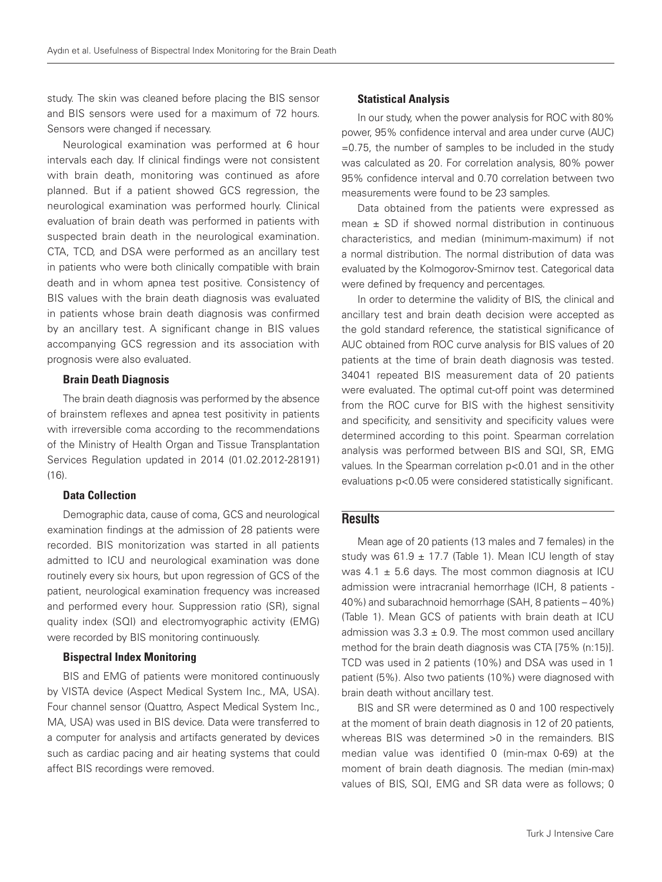study. The skin was cleaned before placing the BIS sensor and BIS sensors were used for a maximum of 72 hours. Sensors were changed if necessary.

Neurological examination was performed at 6 hour intervals each day. If clinical findings were not consistent with brain death, monitoring was continued as afore planned. But if a patient showed GCS regression, the neurological examination was performed hourly. Clinical evaluation of brain death was performed in patients with suspected brain death in the neurological examination. CTA, TCD, and DSA were performed as an ancillary test in patients who were both clinically compatible with brain death and in whom apnea test positive. Consistency of BIS values with the brain death diagnosis was evaluated in patients whose brain death diagnosis was confirmed by an ancillary test. A significant change in BIS values accompanying GCS regression and its association with prognosis were also evaluated.

### Brain Death Diagnosis

The brain death diagnosis was performed by the absence of brainstem reflexes and apnea test positivity in patients with irreversible coma according to the recommendations of the Ministry of Health Organ and Tissue Transplantation Services Regulation updated in 2014 (01.02.2012-28191) (16).

#### Data Collection

Demographic data, cause of coma, GCS and neurological examination findings at the admission of 28 patients were recorded. BIS monitorization was started in all patients admitted to ICU and neurological examination was done routinely every six hours, but upon regression of GCS of the patient, neurological examination frequency was increased and performed every hour. Suppression ratio (SR), signal quality index (SQI) and electromyographic activity (EMG) were recorded by BIS monitoring continuously.

#### Bispectral Index Monitoring

BIS and EMG of patients were monitored continuously by VISTA device (Aspect Medical System Inc., MA, USA). Four channel sensor (Quattro, Aspect Medical System Inc., MA, USA) was used in BIS device. Data were transferred to a computer for analysis and artifacts generated by devices such as cardiac pacing and air heating systems that could affect BIS recordings were removed.

#### Statistical Analysis

In our study, when the power analysis for ROC with 80% power, 95% confidence interval and area under curve (AUC) =0.75, the number of samples to be included in the study was calculated as 20. For correlation analysis, 80% power 95% confidence interval and 0.70 correlation between two measurements were found to be 23 samples.

Data obtained from the patients were expressed as mean  $\pm$  SD if showed normal distribution in continuous characteristics, and median (minimum-maximum) if not a normal distribution. The normal distribution of data was evaluated by the Kolmogorov-Smirnov test. Categorical data were defined by frequency and percentages.

In order to determine the validity of BIS, the clinical and ancillary test and brain death decision were accepted as the gold standard reference, the statistical significance of AUC obtained from ROC curve analysis for BIS values of 20 patients at the time of brain death diagnosis was tested. 34041 repeated BIS measurement data of 20 patients were evaluated. The optimal cut-off point was determined from the ROC curve for BIS with the highest sensitivity and specificity, and sensitivity and specificity values were determined according to this point. Spearman correlation analysis was performed between BIS and SQI, SR, EMG values. In the Spearman correlation p<0.01 and in the other evaluations p<0.05 were considered statistically significant.

# **Results**

Mean age of 20 patients (13 males and 7 females) in the study was 61.9  $\pm$  17.7 (Table 1). Mean ICU length of stay was  $4.1 \pm 5.6$  days. The most common diagnosis at ICU admission were intracranial hemorrhage (ICH, 8 patients - 40%) and subarachnoid hemorrhage (SAH, 8 patients – 40%) (Table 1). Mean GCS of patients with brain death at ICU admission was  $3.3 \pm 0.9$ . The most common used ancillary method for the brain death diagnosis was CTA [75% (n:15)]. TCD was used in 2 patients (10%) and DSA was used in 1 patient (5%). Also two patients (10%) were diagnosed with brain death without ancillary test.

BIS and SR were determined as 0 and 100 respectively at the moment of brain death diagnosis in 12 of 20 patients, whereas BIS was determined >0 in the remainders. BIS median value was identified 0 (min-max 0-69) at the moment of brain death diagnosis. The median (min-max) values of BIS, SQI, EMG and SR data were as follows; 0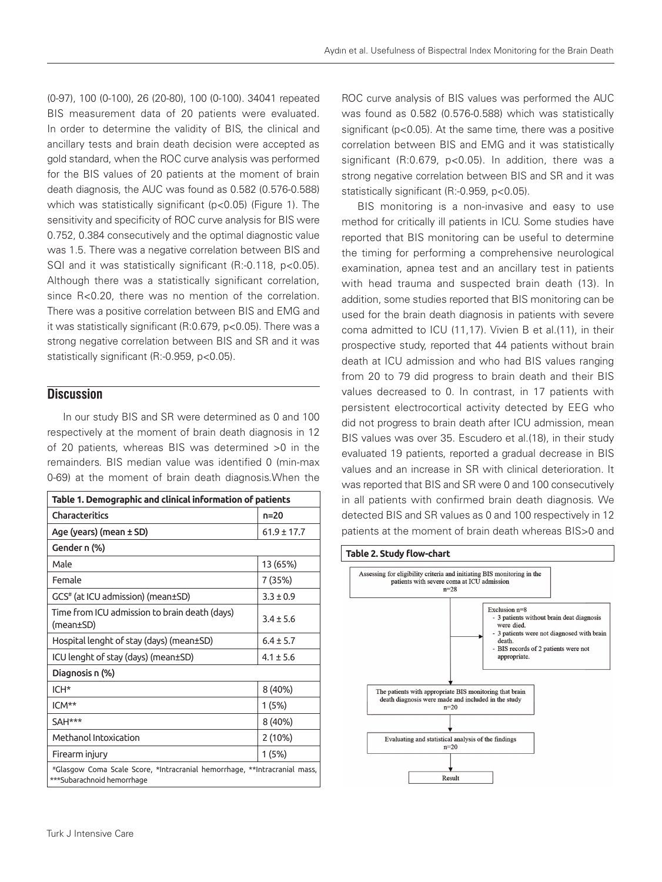(0-97), 100 (0-100), 26 (20-80), 100 (0-100). 34041 repeated BIS measurement data of 20 patients were evaluated. In order to determine the validity of BIS, the clinical and ancillary tests and brain death decision were accepted as gold standard, when the ROC curve analysis was performed for the BIS values of 20 patients at the moment of brain death diagnosis, the AUC was found as 0.582 (0.576-0.588) which was statistically significant (p<0.05) (Figure 1). The sensitivity and specificity of ROC curve analysis for BIS were 0.752, 0.384 consecutively and the optimal diagnostic value was 1.5. There was a negative correlation between BIS and SQI and it was statistically significant (R:-0.118, p<0.05). Although there was a statistically significant correlation, since R<0.20, there was no mention of the correlation. There was a positive correlation between BIS and EMG and it was statistically significant (R:0.679, p<0.05). There was a strong negative correlation between BIS and SR and it was statistically significant (R:-0.959, p<0.05).

# **Discussion**

In our study BIS and SR were determined as 0 and 100 respectively at the moment of brain death diagnosis in 12 of 20 patients, whereas BIS was determined >0 in the remainders. BIS median value was identified 0 (min-max 0-69) at the moment of brain death diagnosis.When the

| Table 1. Demographic and clinical information of patients                                               |               |
|---------------------------------------------------------------------------------------------------------|---------------|
| <b>Characteritics</b>                                                                                   | $n=20$        |
| Age (years) (mean ± SD)                                                                                 | $61.9 + 17.7$ |
| Gender n (%)                                                                                            |               |
| Male                                                                                                    | 13 (65%)      |
| Female                                                                                                  | 7 (35%)       |
| GCS <sup>#</sup> (at ICU admission) (mean±SD)                                                           | $3.3 + 0.9$   |
| Time from ICU admission to brain death (days)<br>(mean±SD)                                              | $3.4 \pm 5.6$ |
| Hospital lenght of stay (days) (mean±SD)                                                                | $6.4 + 5.7$   |
| ICU lenght of stay (days) (mean±SD)                                                                     | $4.1 + 5.6$   |
| Diagnosis n (%)                                                                                         |               |
| $ICH*$                                                                                                  | 8 (40%)       |
| ICM**                                                                                                   | 1(5%)         |
| SAH***                                                                                                  | 8 (40%)       |
| Methanol Intoxication                                                                                   | 2(10%)        |
| Firearm injury                                                                                          | 1(5%)         |
| #Glasgow Coma Scale Score, *Intracranial hemorrhage, **Intracranial mass,<br>***Subarachnoid hemorrhage |               |

ROC curve analysis of BIS values was performed the AUC was found as 0.582 (0.576-0.588) which was statistically significant (p<0.05). At the same time, there was a positive correlation between BIS and EMG and it was statistically significant (R:0.679, p<0.05). In addition, there was a strong negative correlation between BIS and SR and it was statistically significant (R:-0.959, p<0.05).

BIS monitoring is a non-invasive and easy to use method for critically ill patients in ICU. Some studies have reported that BIS monitoring can be useful to determine the timing for performing a comprehensive neurological examination, apnea test and an ancillary test in patients with head trauma and suspected brain death (13). In addition, some studies reported that BIS monitoring can be used for the brain death diagnosis in patients with severe coma admitted to ICU (11,17). Vivien B et al.(11), in their prospective study, reported that 44 patients without brain death at ICU admission and who had BIS values ranging from 20 to 79 did progress to brain death and their BIS values decreased to 0. In contrast, in 17 patients with persistent electrocortical activity detected by EEG who did not progress to brain death after ICU admission, mean BIS values was over 35. Escudero et al.(18), in their study evaluated 19 patients, reported a gradual decrease in BIS values and an increase in SR with clinical deterioration. It was reported that BIS and SR were 0 and 100 consecutively in all patients with confirmed brain death diagnosis. We detected BIS and SR values as 0 and 100 respectively in 12 patients at the moment of brain death whereas BIS>0 and

#### **Table 2. Study flow-chart**

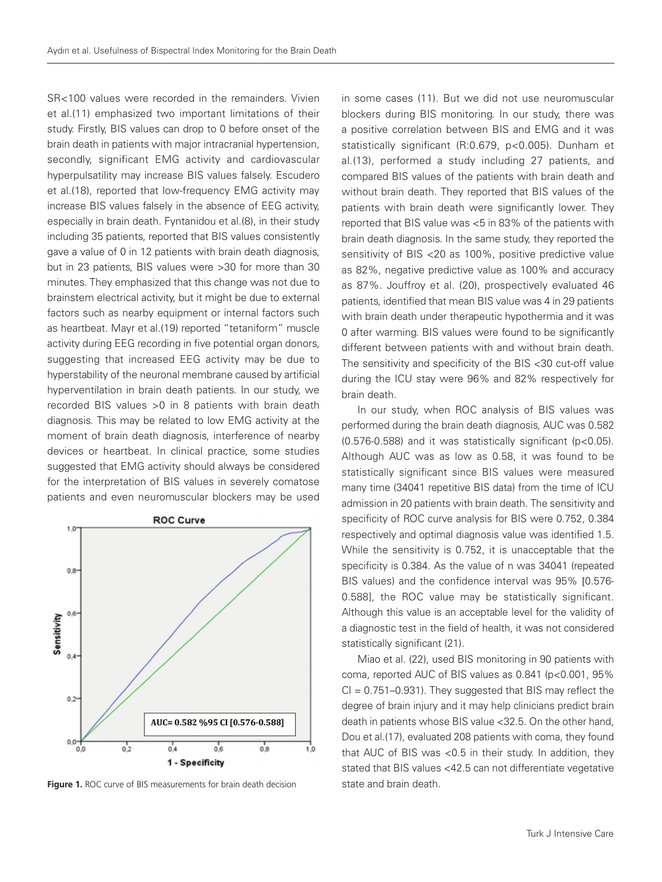SR<100 values were recorded in the remainders. Vivien et al.(11) emphasized two important limitations of their study. Firstly, BIS values can drop to 0 before onset of the brain death in patients with major intracranial hypertension, secondly, significant EMG activity and cardiovascular hyperpulsatility may increase BIS values falsely. Escudero et al.(18), reported that low-frequency EMG activity may increase BIS values falsely in the absence of EEG activity, especially in brain death. Fyntanidou et al.(8), in their study including 35 patients, reported that BIS values consistently gave a value of 0 in 12 patients with brain death diagnosis, but in 23 patients, BIS values were >30 for more than 30 minutes. They emphasized that this change was not due to brainstem electrical activity, but it might be due to external factors such as nearby equipment or internal factors such as heartbeat. Mayr et al.(19) reported "tetaniform" muscle activity during EEG recording in five potential organ donors, suggesting that increased EEG activity may be due to hyperstability of the neuronal membrane caused by artificial hyperventilation in brain death patients. In our study, we recorded BIS values >0 in 8 patients with brain death diagnosis. This may be related to low EMG activity at the moment of brain death diagnosis, interference of nearby devices or heartbeat. In clinical practice, some studies suggested that EMG activity should always be considered for the interpretation of BIS values in severely comatose patients and even neuromuscular blockers may be used



**Figure 1.** ROC curve of BIS measurements for brain death decision state and brain death.

in some cases (11). But we did not use neuromuscular blockers during BIS monitoring. In our study, there was a positive correlation between BIS and EMG and it was statistically significant (R:0.679, p<0.005). Dunham et al.(13), performed a study including 27 patients, and compared BIS values of the patients with brain death and without brain death. They reported that BIS values of the patients with brain death were significantly lower. They reported that BIS value was <5 in 83% of the patients with brain death diagnosis. In the same study, they reported the sensitivity of BIS <20 as 100%, positive predictive value as 82%, negative predictive value as 100% and accuracy as 87%. Jouffroy et al. (20), prospectively evaluated 46 patients, identified that mean BIS value was 4 in 29 patients with brain death under therapeutic hypothermia and it was 0 after warming. BIS values were found to be significantly different between patients with and without brain death. The sensitivity and specificity of the BIS <30 cut-off value during the ICU stay were 96% and 82% respectively for brain death.

In our study, when ROC analysis of BIS values was performed during the brain death diagnosis, AUC was 0.582 (0.576-0.588) and it was statistically significant (p<0.05). Although AUC was as low as 0.58, it was found to be statistically significant since BIS values were measured many time (34041 repetitive BIS data) from the time of ICU admission in 20 patients with brain death. The sensitivity and specificity of ROC curve analysis for BIS were 0.752, 0.384 respectively and optimal diagnosis value was identified 1.5. While the sensitivity is 0.752, it is unacceptable that the specificity is 0.384. As the value of n was 34041 (repeated BIS values) and the confidence interval was 95% [0.576- 0.588], the ROC value may be statistically significant. Although this value is an acceptable level for the validity of a diagnostic test in the field of health, it was not considered statistically significant (21).

Miao et al. (22), used BIS monitoring in 90 patients with coma, reported AUC of BIS values as 0.841 (p<0.001, 95%  $Cl = 0.751-0.931$ . They suggested that BIS may reflect the degree of brain injury and it may help clinicians predict brain death in patients whose BIS value <32.5. On the other hand, Dou et al.(17), evaluated 208 patients with coma, they found that AUC of BIS was <0.5 in their study. In addition, they stated that BIS values <42.5 can not differentiate vegetative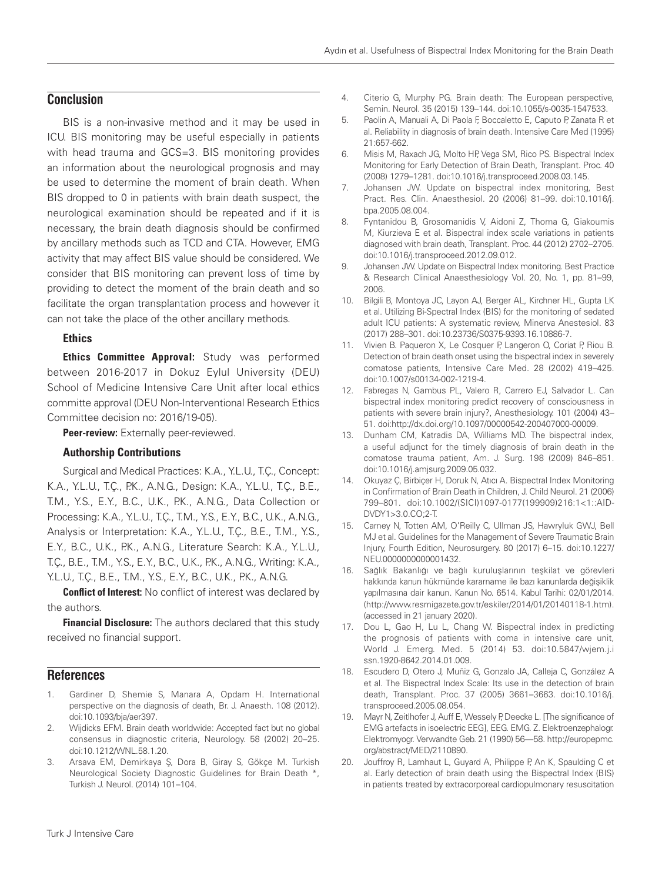# **Conclusion**

BIS is a non-invasive method and it may be used in ICU. BIS monitoring may be useful especially in patients with head trauma and GCS=3. BIS monitoring provides an information about the neurological prognosis and may be used to determine the moment of brain death. When BIS dropped to 0 in patients with brain death suspect, the neurological examination should be repeated and if it is necessary, the brain death diagnosis should be confirmed by ancillary methods such as TCD and CTA. However, EMG activity that may affect BIS value should be considered. We consider that BIS monitoring can prevent loss of time by providing to detect the moment of the brain death and so facilitate the organ transplantation process and however it can not take the place of the other ancillary methods.

## **Ethics**

**Ethics Committee Approval:** Study was performed between 2016-2017 in Dokuz Eylul University (DEU) School of Medicine Intensive Care Unit after local ethics committe approval (DEU Non-Interventional Research Ethics Committee decision no: 2016/19-05).

Peer-review: Externally peer-reviewed.

## Authorship Contributions

Surgical and Medical Practices: K.A., Y.L.U., T.Ç., Concept: K.A., Y.L.U., T.Ç., P.K., A.N.G., Design: K.A., Y.L.U., T.Ç., B.E., T.M., Y.S., E.Y., B.C., U.K., P.K., A.N.G., Data Collection or Processing: K.A., Y.L.U., T.Ç., T.M., Y.S., E.Y., B.C., U.K., A.N.G., Analysis or Interpretation: K.A., Y.L.U., T.Ç., B.E., T.M., Y.S., E.Y., B.C., U.K., P.K., A.N.G., Literature Search: K.A., Y.L.U., T.Ç., B.E., T.M., Y.S., E.Y., B.C., U.K., P.K., A.N.G., Writing: K.A., Y.L.U., T.Ç., B.E., T.M., Y.S., E.Y., B.C., U.K., P.K., A.N.G.

**Conflict of Interest:** No conflict of interest was declared by the authors.

**Financial Disclosure:** The authors declared that this study received no financial support.

# **References**

- 1. Gardiner D, Shemie S, Manara A, Opdam H. International perspective on the diagnosis of death, Br. J. Anaesth. 108 (2012). doi:10.1093/bja/aer397.
- 2. Wijdicks EFM. Brain death worldwide: Accepted fact but no global consensus in diagnostic criteria, Neurology. 58 (2002) 20–25. doi:10.1212/WNL.58.1.20.
- 3. Arsava EM, Demirkaya Ş, Dora B, Giray S, Gökçe M. Turkish Neurological Society Diagnostic Guidelines for Brain Death \*, Turkish J. Neurol. (2014) 101–104.
- 4. Citerio G, Murphy PG. Brain death: The European perspective, Semin. Neurol. 35 (2015) 139–144. doi:10.1055/s-0035-1547533.
- 5. Paolin A, Manuali A, Di Paola F, Boccaletto E, Caputo P, Zanata R et al. Reliability in diagnosis of brain death. Intensive Care Med (1995) 21:657-662.
- 6. Misis M, Raxach JG, Molto HP, Vega SM, Rico PS. Bispectral Index Monitoring for Early Detection of Brain Death, Transplant. Proc. 40 (2008) 1279–1281. doi:10.1016/j.transproceed.2008.03.145.
- 7. Johansen JW. Update on bispectral index monitoring, Best Pract. Res. Clin. Anaesthesiol. 20 (2006) 81–99. doi:10.1016/j. bpa.2005.08.004.
- 8. Fyntanidou B, Grosomanidis V, Aidoni Z, Thoma G, Giakoumis M, Kiurzieva E et al. Bispectral index scale variations in patients diagnosed with brain death, Transplant. Proc. 44 (2012) 2702–2705. doi:10.1016/j.transproceed.2012.09.012.
- 9. Johansen JW. Update on Bispectral Index monitoring. Best Practice & Research Clinical Anaesthesiology Vol. 20, No. 1, pp. 81–99, 2006.
- 10. Bilgili B, Montoya JC, Layon AJ, Berger AL, Kirchner HL, Gupta LK et al. Utilizing Bi-Spectral Index (BIS) for the monitoring of sedated adult ICU patients: A systematic review, Minerva Anestesiol. 83 (2017) 288–301. doi:10.23736/S0375-9393.16.10886-7.
- 11. Vivien B. Paqueron X, Le Cosquer P, Langeron O, Coriat P, Riou B. Detection of brain death onset using the bispectral index in severely comatose patients, Intensive Care Med. 28 (2002) 419–425. doi:10.1007/s00134-002-1219-4.
- 12. Fabregas N, Gambus PL, Valero R, Carrero EJ, Salvador L. Can bispectral index monitoring predict recovery of consciousness in patients with severe brain injury?, Anesthesiology. 101 (2004) 43– 51. doi:http://dx.doi.org/10.1097/00000542-200407000-00009.
- 13. Dunham CM, Katradis DA, Williams MD. The bispectral index, a useful adjunct for the timely diagnosis of brain death in the comatose trauma patient, Am. J. Surg. 198 (2009) 846–851. doi:10.1016/j.amjsurg.2009.05.032.
- 14. Okuyaz Ç, Birbiçer H, Doruk N, Atıcı A. Bispectral Index Monitoring in Confirmation of Brain Death in Children, J. Child Neurol. 21 (2006) 799–801. doi:10.1002/(SICI)1097-0177(199909)216:1<1::AID-DVDY1>3.0.CO;2-T.
- 15. Carney N, Totten AM, O'Reilly C, Ullman JS, Hawryluk GWJ, Bell MJ et al. Guidelines for the Management of Severe Traumatic Brain Injury, Fourth Edition, Neurosurgery. 80 (2017) 6–15. doi:10.1227/ NEU.0000000000001432.
- 16. Sağlık Bakanlığı ve bağlı kuruluşlarının teşkilat ve görevleri hakkında kanun hükmünde kararname ile bazı kanunlarda değişiklik yapılmasına dair kanun. Kanun No. 6514. Kabul Tarihi: 02/01/2014. (http://www.resmigazete.gov.tr/eskiler/2014/01/20140118-1.htm). (accessed in 21 january 2020).
- 17. Dou L, Gao H, Lu L, Chang W. Bispectral index in predicting the prognosis of patients with coma in intensive care unit, World J. Emerg. Med. 5 (2014) 53. doi:10.5847/wjem.j.i ssn.1920-8642.2014.01.009.
- 18. Escudero D, Otero J, Muñiz G, Gonzalo JA, Calleja C, González A et al. The Bispectral Index Scale: Its use in the detection of brain death, Transplant. Proc. 37 (2005) 3661–3663. doi:10.1016/j. transproceed.2005.08.054.
- 19. Mayr N, Zeitlhofer J, Auff E, Wessely P, Deecke L. [The significance of EMG artefacts in isoelectric EEG], EEG. EMG. Z. Elektroenzephalogr. Elektromyogr. Verwandte Geb. 21 (1990) 56—58. http://europepmc. org/abstract/MED/2110890.
- 20. Jouffroy R, Lamhaut L, Guyard A, Philippe P, An K, Spaulding C et al. Early detection of brain death using the Bispectral Index (BIS) in patients treated by extracorporeal cardiopulmonary resuscitation